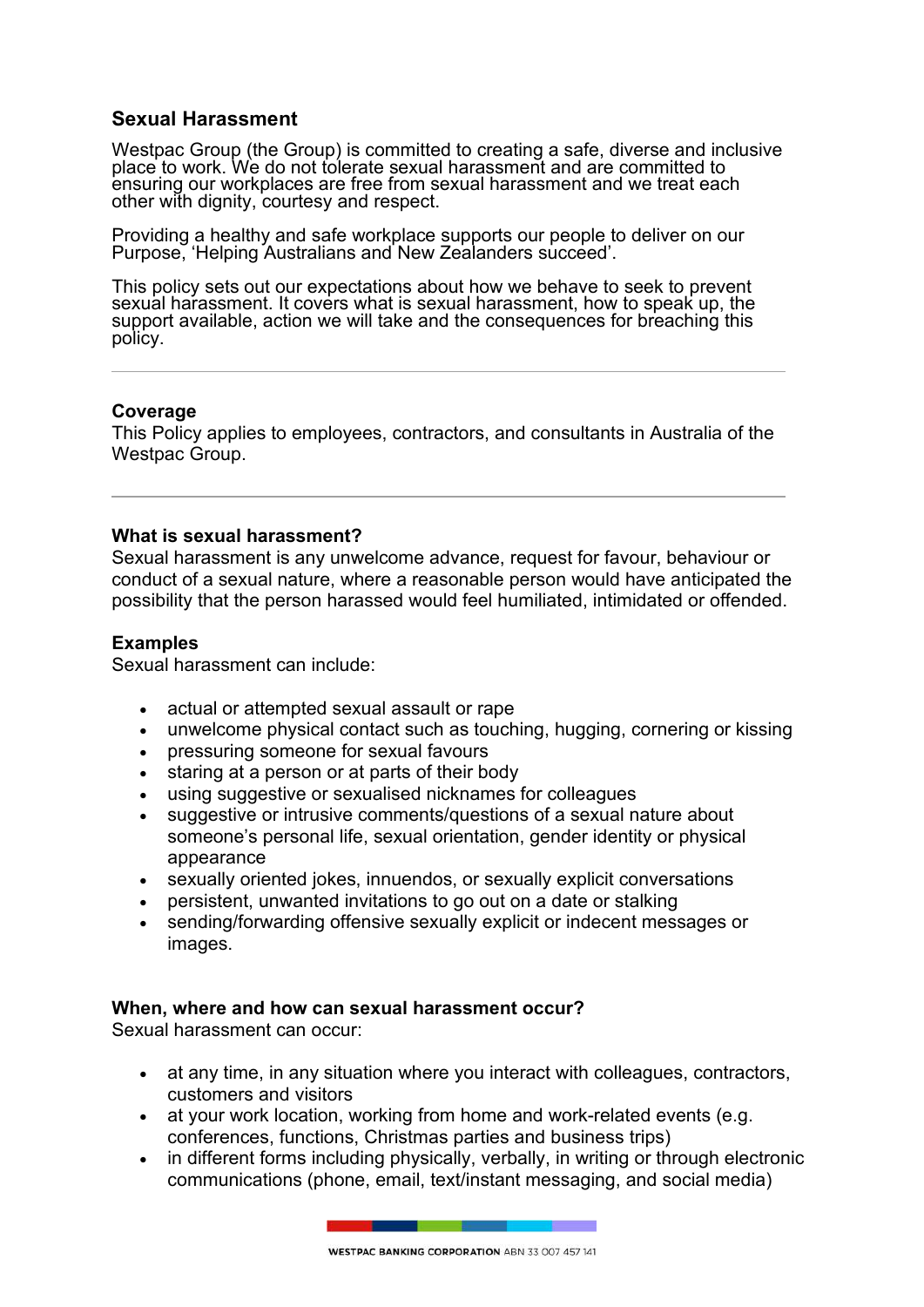## **Sexual Harassment**

Westpac Group (the Group) is committed to creating a safe, diverse and inclusive place to work. We do not tolerate sexual harassment and are committed to ensuring our workplaces are free from sexual harassment and we treat each other with dignity, courtesy and respect.

Providing a healthy and safe workplace supports our people to deliver on our Purpose, 'Helping Australians and New Zealanders succeed'.

This policy sets out our expectations about how we behave to seek to prevent sexual harassment. It covers what is sexual harassment, how to speak up, the support available, action we will take and the consequences for breaching this policy.

#### **Coverage**

This Policy applies to employees, contractors, and consultants in Australia of the Westpac Group.

#### **What is sexual harassment?**

Sexual harassment is any unwelcome advance, request for favour, behaviour or conduct of a sexual nature, where a reasonable person would have anticipated the possibility that the person harassed would feel humiliated, intimidated or offended.

#### **Examples**

Sexual harassment can include:

- actual or attempted sexual assault or rape
- unwelcome physical contact such as touching, hugging, cornering or kissing
- pressuring someone for sexual favours
- staring at a person or at parts of their body
- using suggestive or sexualised nicknames for colleagues
- suggestive or intrusive comments/questions of a sexual nature about someone's personal life, sexual orientation, gender identity or physical appearance
- sexually oriented jokes, innuendos, or sexually explicit conversations
- persistent, unwanted invitations to go out on a date or stalking
- sending/forwarding offensive sexually explicit or indecent messages or images.

#### **When, where and how can sexual harassment occur?**

Sexual harassment can occur:

- at any time, in any situation where you interact with colleagues, contractors, customers and visitors
- at your work location, working from home and work-related events (e.g. conferences, functions, Christmas parties and business trips)
- in different forms including physically, verbally, in writing or through electronic communications (phone, email, text/instant messaging, and social media)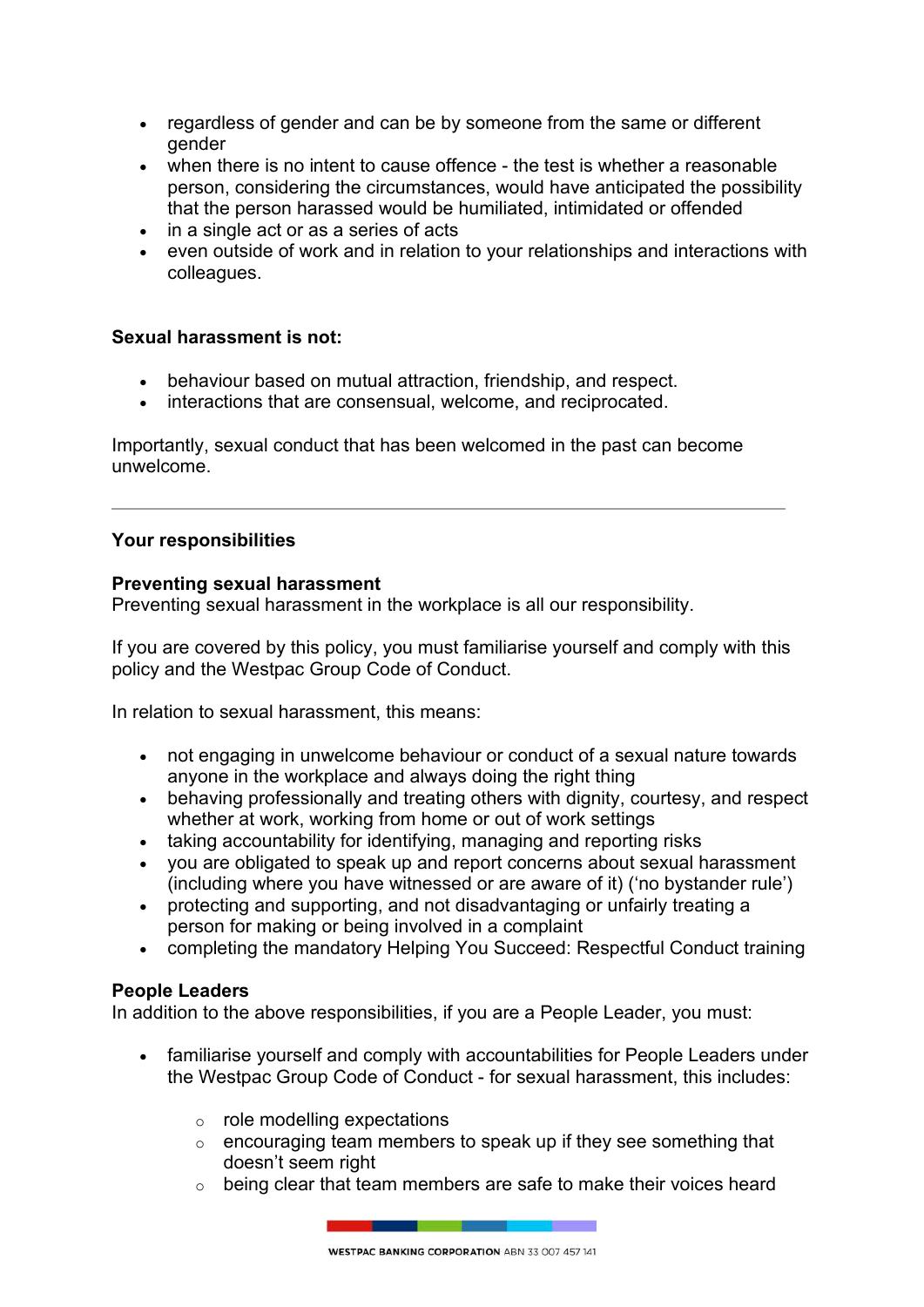- regardless of gender and can be by someone from the same or different gender
- when there is no intent to cause offence the test is whether a reasonable person, considering the circumstances, would have anticipated the possibility that the person harassed would be humiliated, intimidated or offended
- in a single act or as a series of acts
- even outside of work and in relation to your relationships and interactions with colleagues.

## **Sexual harassment is not:**

- behaviour based on mutual attraction, friendship, and respect.
- $\bullet$  interactions that are consensual, welcome, and reciprocated.

Importantly, sexual conduct that has been welcomed in the past can become unwelcome.

## **Your responsibilities**

## **Preventing sexual harassment**

Preventing sexual harassment in the workplace is all our responsibility.

If you are covered by this policy, you must familiarise yourself and comply with this policy and the Westpac Group Code of Conduct.

In relation to sexual harassment, this means:

- not engaging in unwelcome behaviour or conduct of a sexual nature towards anyone in the workplace and always doing the right thing
- behaving professionally and treating others with dignity, courtesy, and respect whether at work, working from home or out of work settings
- taking accountability for identifying, managing and reporting risks
- you are obligated to speak up and report concerns about sexual harassment (including where you have witnessed or are aware of it) ('no bystander rule')
- protecting and supporting, and not disadvantaging or unfairly treating a person for making or being involved in a complaint
- completing the mandatory Helping You Succeed: Respectful Conduct training

## **People Leaders**

In addition to the above responsibilities, if you are a People Leader, you must:

- familiarise yourself and comply with accountabilities for People Leaders under the Westpac Group Code of Conduct - for sexual harassment, this includes:
	- $\circ$  role modelling expectations
	- o encouraging team members to speak up if they see something that doesn't seem right
	- o being clear that team members are safe to make their voices heard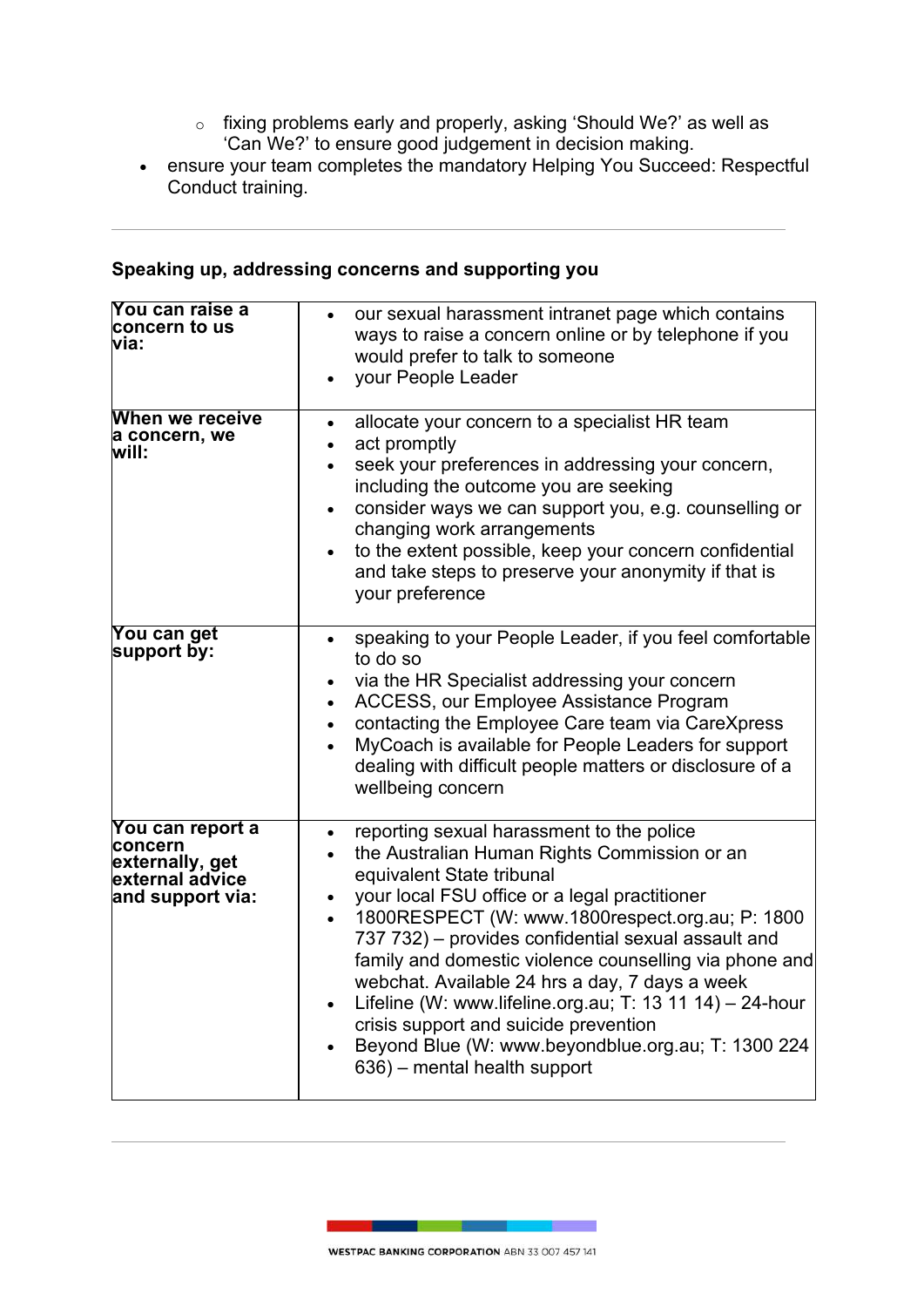- $\circ$  fixing problems early and properly, asking 'Should We?' as well as 'Can We?' to ensure good judgement in decision making.
- ensure your team completes the mandatory Helping You Succeed: Respectful Conduct training.

# **Speaking up, addressing concerns and supporting you**

| You can raise a<br>concern to us<br>via:                                              | our sexual harassment intranet page which contains<br>ways to raise a concern online or by telephone if you<br>would prefer to talk to someone<br>your People Leader                                                                                                                                                                                                                                                                                                                                                                                                                                  |
|---------------------------------------------------------------------------------------|-------------------------------------------------------------------------------------------------------------------------------------------------------------------------------------------------------------------------------------------------------------------------------------------------------------------------------------------------------------------------------------------------------------------------------------------------------------------------------------------------------------------------------------------------------------------------------------------------------|
| When we receive<br>a concern, we<br>will:                                             | allocate your concern to a specialist HR team<br>$\bullet$<br>act promptly<br>$\bullet$<br>seek your preferences in addressing your concern,<br>$\bullet$<br>including the outcome you are seeking<br>consider ways we can support you, e.g. counselling or<br>$\bullet$<br>changing work arrangements<br>to the extent possible, keep your concern confidential<br>and take steps to preserve your anonymity if that is<br>your preference                                                                                                                                                           |
| <b>You can get</b><br>support by:                                                     | speaking to your People Leader, if you feel comfortable<br>$\bullet$<br>to do so<br>via the HR Specialist addressing your concern<br>ACCESS, our Employee Assistance Program<br>contacting the Employee Care team via CareXpress<br>MyCoach is available for People Leaders for support<br>dealing with difficult people matters or disclosure of a<br>wellbeing concern                                                                                                                                                                                                                              |
| You can report a<br>concern<br>externally, get<br>external advice<br>and support via: | reporting sexual harassment to the police<br>$\bullet$<br>the Australian Human Rights Commission or an<br>equivalent State tribunal<br>your local FSU office or a legal practitioner<br>1800RESPECT (W: www.1800respect.org.au; P: 1800<br>737 732) – provides confidential sexual assault and<br>family and domestic violence counselling via phone and<br>webchat. Available 24 hrs a day, 7 days a week<br>Lifeline (W: www.lifeline.org.au; T: 13 11 14) - 24-hour<br>crisis support and suicide prevention<br>Beyond Blue (W: www.beyondblue.org.au; T: 1300 224<br>636) – mental health support |

т